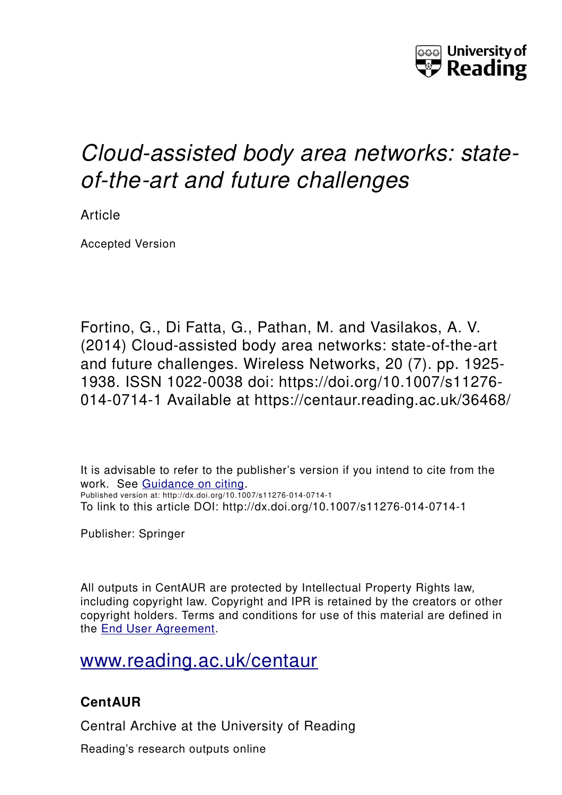

# *Cloud-assisted body area networks: stateof-the-art and future challenges*

Article

Accepted Version

Fortino, G., Di Fatta, G., Pathan, M. and Vasilakos, A. V. (2014) Cloud-assisted body area networks: state-of-the-art and future challenges. Wireless Networks, 20 (7). pp. 1925- 1938. ISSN 1022-0038 doi: https://doi.org/10.1007/s11276- 014-0714-1 Available at https://centaur.reading.ac.uk/36468/

It is advisable to refer to the publisher's version if you intend to cite from the work. See [Guidance on citing.](http://centaur.reading.ac.uk/71187/10/CentAUR%20citing%20guide.pdf) Published version at: http://dx.doi.org/10.1007/s11276-014-0714-1 To link to this article DOI: http://dx.doi.org/10.1007/s11276-014-0714-1

Publisher: Springer

All outputs in CentAUR are protected by Intellectual Property Rights law, including copyright law. Copyright and IPR is retained by the creators or other copyright holders. Terms and conditions for use of this material are defined in the [End User Agreement.](http://centaur.reading.ac.uk/licence)

[www.reading.ac.uk/centaur](http://www.reading.ac.uk/centaur)

# **CentAUR**

Central Archive at the University of Reading

Reading's research outputs online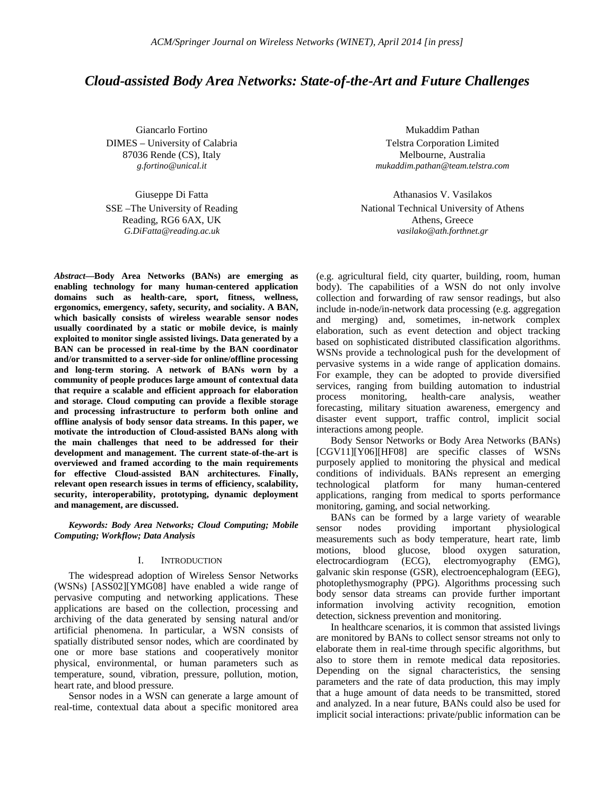# *Cloud-assisted Body Area Networks: State-of-the-Art and Future Challenges*

Giancarlo Fortino DIMES – University of Calabria 87036 Rende (CS), Italy *g.fortino@unical.it*

Giuseppe Di Fatta SSE –The University of Reading Reading, RG6 6AX, UK *G.DiFatta@reading.ac.uk*

*Abstract***—Body Area Networks (BANs) are emerging as enabling technology for many human-centered application domains such as health-care, sport, fitness, wellness, ergonomics, emergency, safety, security, and sociality. A BAN, which basically consists of wireless wearable sensor nodes usually coordinated by a static or mobile device, is mainly exploited to monitor single assisted livings. Data generated by a BAN can be processed in real-time by the BAN coordinator and/or transmitted to a server-side for online/offline processing and long-term storing. A network of BANs worn by a community of people produces large amount of contextual data that require a scalable and efficient approach for elaboration and storage. Cloud computing can provide a flexible storage and processing infrastructure to perform both online and offline analysis of body sensor data streams. In this paper, we motivate the introduction of Cloud-assisted BANs along with the main challenges that need to be addressed for their development and management. The current state-of-the-art is overviewed and framed according to the main requirements for effective Cloud-assisted BAN architectures. Finally, relevant open research issues in terms of efficiency, scalability, security, interoperability, prototyping, dynamic deployment and management, are discussed.**

*Keywords: Body Area Networks; Cloud Computing; Mobile Computing; Workflow; Data Analysis*

#### I. INTRODUCTION

The widespread adoption of Wireless Sensor Networks (WSNs) [ASS02][YMG08] have enabled a wide range of pervasive computing and networking applications. These applications are based on the collection, processing and archiving of the data generated by sensing natural and/or artificial phenomena. In particular, a WSN consists of spatially distributed sensor nodes, which are coordinated by one or more base stations and cooperatively monitor physical, environmental, or human parameters such as temperature, sound, vibration, pressure, pollution, motion, heart rate, and blood pressure.

Sensor nodes in a WSN can generate a large amount of real-time, contextual data about a specific monitored area

Mukaddim Pathan Telstra Corporation Limited Melbourne, Australia *mukaddim.pathan@team.telstra.com*

Athanasios V. Vasilakos National Technical University of Athens Athens, Greece *vasilako@ath.forthnet.gr*

(e.g. agricultural field, city quarter, building, room, human body). The capabilities of a WSN do not only involve collection and forwarding of raw sensor readings, but also include in-node/in-network data processing (e.g. aggregation and merging) and, sometimes, in-network complex elaboration, such as event detection and object tracking based on sophisticated distributed classification algorithms. WSNs provide a technological push for the development of pervasive systems in a wide range of application domains. For example, they can be adopted to provide diversified services, ranging from building automation to industrial process monitoring, health-care analysis, weather forecasting, military situation awareness, emergency and disaster event support, traffic control, implicit social interactions among people.

Body Sensor Networks or Body Area Networks (BANs) [CGV11][Y06][HF08] are specific classes of WSNs purposely applied to monitoring the physical and medical conditions of individuals. BANs represent an emerging technological platform for many human-centered applications, ranging from medical to sports performance monitoring, gaming, and social networking.

BANs can be formed by a large variety of wearable sensor nodes providing important physiological measurements such as body temperature, heart rate, limb motions, blood glucose, blood oxygen saturation, electrocardiogram (ECG), electromyography (EMG), galvanic skin response (GSR), electroencephalogram (EEG), photoplethysmography (PPG). Algorithms processing such body sensor data streams can provide further important information involving activity recognition, emotion detection, sickness prevention and monitoring.

In healthcare scenarios, it is common that assisted livings are monitored by BANs to collect sensor streams not only to elaborate them in real-time through specific algorithms, but also to store them in remote medical data repositories. Depending on the signal characteristics, the sensing parameters and the rate of data production, this may imply that a huge amount of data needs to be transmitted, stored and analyzed. In a near future, BANs could also be used for implicit social interactions: private/public information can be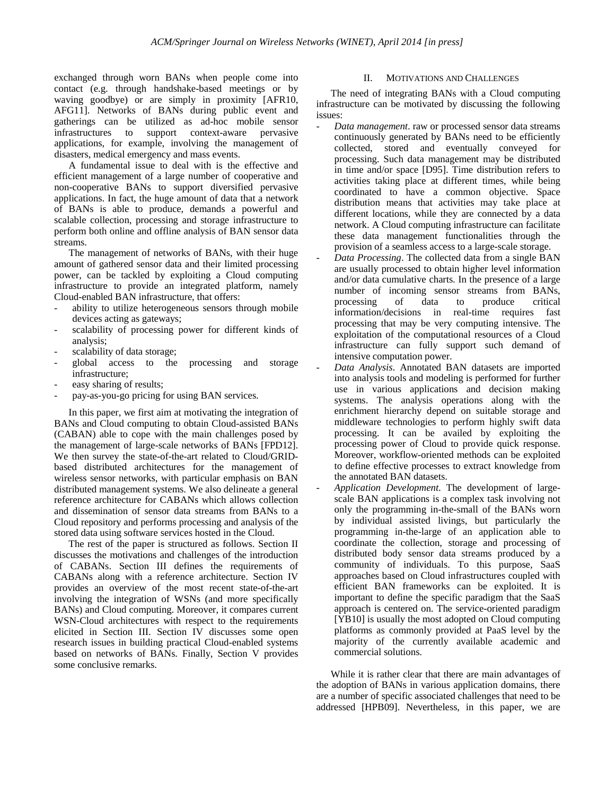exchanged through worn BANs when people come into contact (e.g. through handshake-based meetings or by waving goodbye) or are simply in proximity [AFR10, AFG11]. Networks of BANs during public event and gatherings can be utilized as ad-hoc mobile sensor infrastructures to support context-aware pervasive applications, for example, involving the management of disasters, medical emergency and mass events.

A fundamental issue to deal with is the effective and efficient management of a large number of cooperative and non-cooperative BANs to support diversified pervasive applications. In fact, the huge amount of data that a network of BANs is able to produce, demands a powerful and scalable collection, processing and storage infrastructure to perform both online and offline analysis of BAN sensor data streams.

The management of networks of BANs, with their huge amount of gathered sensor data and their limited processing power, can be tackled by exploiting a Cloud computing infrastructure to provide an integrated platform, namely Cloud-enabled BAN infrastructure, that offers:

- ability to utilize heterogeneous sensors through mobile devices acting as gateways;
- scalability of processing power for different kinds of analysis;
- scalability of data storage;
- global access to the processing and storage infrastructure;
- easy sharing of results;
- pay-as-you-go pricing for using BAN services.

In this paper, we first aim at motivating the integration of BANs and Cloud computing to obtain Cloud-assisted BANs (CABAN) able to cope with the main challenges posed by the management of large-scale networks of BANs [FPD12]. We then survey the state-of-the-art related to Cloud/GRIDbased distributed architectures for the management of wireless sensor networks, with particular emphasis on BAN distributed management systems. We also delineate a general reference architecture for CABANs which allows collection and dissemination of sensor data streams from BANs to a Cloud repository and performs processing and analysis of the stored data using software services hosted in the Cloud.

The rest of the paper is structured as follows. Section II discusses the motivations and challenges of the introduction of CABANs. Section III defines the requirements of CABANs along with a reference architecture. Section IV provides an overview of the most recent state-of-the-art involving the integration of WSNs (and more specifically BANs) and Cloud computing. Moreover, it compares current WSN-Cloud architectures with respect to the requirements elicited in Section III. Section IV discusses some open research issues in building practical Cloud-enabled systems based on networks of BANs. Finally, Section V provides some conclusive remarks.

#### II. MOTIVATIONS AND CHALLENGES

The need of integrating BANs with a Cloud computing infrastructure can be motivated by discussing the following issues:

- *Data management*. raw or processed sensor data streams continuously generated by BANs need to be efficiently collected, stored and eventually conveyed for processing. Such data management may be distributed in time and/or space [D95]. Time distribution refers to activities taking place at different times, while being coordinated to have a common objective. Space distribution means that activities may take place at different locations, while they are connected by a data network. A Cloud computing infrastructure can facilitate these data management functionalities through the provision of a seamless access to a large-scale storage.
- *Data Processing*. The collected data from a single BAN are usually processed to obtain higher level information and/or data cumulative charts. In the presence of a large number of incoming sensor streams from BANs, processing of data to produce critical information/decisions in real-time requires fast processing that may be very computing intensive. The exploitation of the computational resources of a Cloud infrastructure can fully support such demand of intensive computation power.
- *Data Analysis*. Annotated BAN datasets are imported into analysis tools and modeling is performed for further use in various applications and decision making systems. The analysis operations along with the enrichment hierarchy depend on suitable storage and middleware technologies to perform highly swift data processing. It can be availed by exploiting the processing power of Cloud to provide quick response. Moreover, workflow-oriented methods can be exploited to define effective processes to extract knowledge from the annotated BAN datasets.
- *Application Development*. The development of largescale BAN applications is a complex task involving not only the programming in-the-small of the BANs worn by individual assisted livings, but particularly the programming in-the-large of an application able to coordinate the collection, storage and processing of distributed body sensor data streams produced by a community of individuals. To this purpose, SaaS approaches based on Cloud infrastructures coupled with efficient BAN frameworks can be exploited. It is important to define the specific paradigm that the SaaS approach is centered on. The service-oriented paradigm [YB10] is usually the most adopted on Cloud computing platforms as commonly provided at PaaS level by the majority of the currently available academic and commercial solutions.

While it is rather clear that there are main advantages of the adoption of BANs in various application domains, there are a number of specific associated challenges that need to be addressed [HPB09]. Nevertheless, in this paper, we are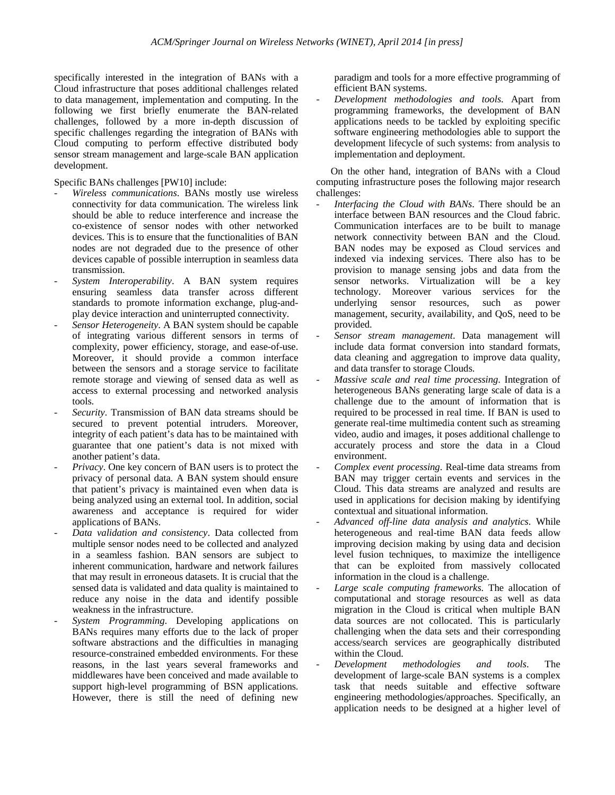specifically interested in the integration of BANs with a Cloud infrastructure that poses additional challenges related to data management, implementation and computing. In the following we first briefly enumerate the BAN-related challenges, followed by a more in-depth discussion of specific challenges regarding the integration of BANs with Cloud computing to perform effective distributed body sensor stream management and large-scale BAN application development.

#### Specific BANs challenges [PW10] include:

- *Wireless communications*. BANs mostly use wireless connectivity for data communication. The wireless link should be able to reduce interference and increase the co-existence of sensor nodes with other networked devices. This is to ensure that the functionalities of BAN nodes are not degraded due to the presence of other devices capable of possible interruption in seamless data transmission.
- *System Interoperability*. A BAN system requires ensuring seamless data transfer across different standards to promote information exchange, plug-andplay device interaction and uninterrupted connectivity.
- Sensor Heterogeneity. A BAN system should be capable of integrating various different sensors in terms of complexity, power efficiency, storage, and ease-of-use. Moreover, it should provide a common interface between the sensors and a storage service to facilitate remote storage and viewing of sensed data as well as access to external processing and networked analysis tools.
- Security. Transmission of BAN data streams should be secured to prevent potential intruders. Moreover, integrity of each patient's data has to be maintained with guarantee that one patient's data is not mixed with another patient's data.
- Privacy. One key concern of BAN users is to protect the privacy of personal data. A BAN system should ensure that patient's privacy is maintained even when data is being analyzed using an external tool. In addition, social awareness and acceptance is required for wider applications of BANs.
- *Data validation and consistency*. Data collected from multiple sensor nodes need to be collected and analyzed in a seamless fashion. BAN sensors are subject to inherent communication, hardware and network failures that may result in erroneous datasets. It is crucial that the sensed data is validated and data quality is maintained to reduce any noise in the data and identify possible weakness in the infrastructure.
- *System Programming*. Developing applications on BANs requires many efforts due to the lack of proper software abstractions and the difficulties in managing resource-constrained embedded environments. For these reasons, in the last years several frameworks and middlewares have been conceived and made available to support high-level programming of BSN applications. However, there is still the need of defining new

paradigm and tools for a more effective programming of efficient BAN systems.

- *Development methodologies and tools*. Apart from programming frameworks, the development of BAN applications needs to be tackled by exploiting specific software engineering methodologies able to support the development lifecycle of such systems: from analysis to implementation and deployment.

On the other hand, integration of BANs with a Cloud computing infrastructure poses the following major research challenges:

- Interfacing the Cloud with BANs. There should be an interface between BAN resources and the Cloud fabric. Communication interfaces are to be built to manage network connectivity between BAN and the Cloud. BAN nodes may be exposed as Cloud services and indexed via indexing services. There also has to be provision to manage sensing jobs and data from the sensor networks. Virtualization will be a key technology. Moreover various services for the underlying sensor resources, such as power underlying sensor resources, management, security, availability, and QoS, need to be provided.
- *Sensor stream management*. Data management will include data format conversion into standard formats, data cleaning and aggregation to improve data quality, and data transfer to storage Clouds.
- *Massive scale and real time processing*. Integration of heterogeneous BANs generating large scale of data is a challenge due to the amount of information that is required to be processed in real time. If BAN is used to generate real-time multimedia content such as streaming video, audio and images, it poses additional challenge to accurately process and store the data in a Cloud environment.
- *Complex event processing*. Real-time data streams from BAN may trigger certain events and services in the Cloud. This data streams are analyzed and results are used in applications for decision making by identifying contextual and situational information.
- *Advanced off-line data analysis and analytics*. While heterogeneous and real-time BAN data feeds allow improving decision making by using data and decision level fusion techniques, to maximize the intelligence that can be exploited from massively collocated information in the cloud is a challenge.
- Large scale computing frameworks. The allocation of computational and storage resources as well as data migration in the Cloud is critical when multiple BAN data sources are not collocated. This is particularly challenging when the data sets and their corresponding access/search services are geographically distributed within the Cloud.
- *Development methodologies and tools*. The development of large-scale BAN systems is a complex task that needs suitable and effective software engineering methodologies/approaches. Specifically, an application needs to be designed at a higher level of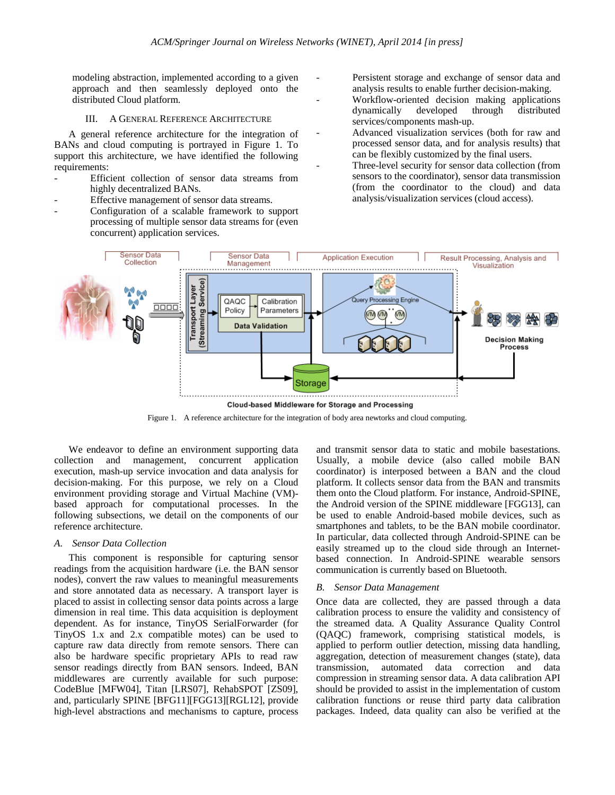modeling abstraction, implemented according to a given approach and then seamlessly deployed onto the distributed Cloud platform.

#### III. A GENERAL REFERENCE ARCHITECTURE

A general reference architecture for the integration of BANs and cloud computing is portrayed in Figure 1. To support this architecture, we have identified the following requirements:

- Efficient collection of sensor data streams from highly decentralized BANs.
- Effective management of sensor data streams.
- Configuration of a scalable framework to support processing of multiple sensor data streams for (even concurrent) application services.
- Persistent storage and exchange of sensor data and analysis results to enable further decision-making.
- Workflow-oriented decision making applications dynamically developed through distributed services/components mash-up.
- Advanced visualization services (both for raw and processed sensor data, and for analysis results) that can be flexibly customized by the final users.
- Three-level security for sensor data collection (from sensors to the coordinator), sensor data transmission (from the coordinator to the cloud) and data analysis/visualization services (cloud access).



Figure 1. A reference architecture for the integration of body area newtorks and cloud computing.

We endeavor to define an environment supporting data collection and management, concurrent application execution, mash-up service invocation and data analysis for decision-making. For this purpose, we rely on a Cloud environment providing storage and Virtual Machine (VM) based approach for computational processes. In the following subsections, we detail on the components of our reference architecture.

#### *A. Sensor Data Collection*

This component is responsible for capturing sensor readings from the acquisition hardware (i.e. the BAN sensor nodes), convert the raw values to meaningful measurements and store annotated data as necessary. A transport layer is placed to assist in collecting sensor data points across a large dimension in real time. This data acquisition is deployment dependent. As for instance, TinyOS SerialForwarder (for TinyOS 1.x and 2.x compatible motes) can be used to capture raw data directly from remote sensors. There can also be hardware specific proprietary APIs to read raw sensor readings directly from BAN sensors. Indeed, BAN middlewares are currently available for such purpose: CodeBlue [MFW04], Titan [LRS07], RehabSPOT [ZS09], and, particularly SPINE [BFG11][FGG13][RGL12], provide high-level abstractions and mechanisms to capture, process

and transmit sensor data to static and mobile basestations. Usually, a mobile device (also called mobile BAN coordinator) is interposed between a BAN and the cloud platform. It collects sensor data from the BAN and transmits them onto the Cloud platform. For instance, Android-SPINE, the Android version of the SPINE middleware [FGG13], can be used to enable Android-based mobile devices, such as smartphones and tablets, to be the BAN mobile coordinator. In particular, data collected through Android-SPINE can be easily streamed up to the cloud side through an Internetbased connection. In Android-SPINE wearable sensors communication is currently based on Bluetooth.

#### *B. Sensor Data Management*

Once data are collected, they are passed through a data calibration process to ensure the validity and consistency of the streamed data. A Quality Assurance Quality Control (QAQC) framework, comprising statistical models, is applied to perform outlier detection, missing data handling, aggregation, detection of measurement changes (state), data transmission, automated data correction and data compression in streaming sensor data. A data calibration API should be provided to assist in the implementation of custom calibration functions or reuse third party data calibration packages. Indeed, data quality can also be verified at the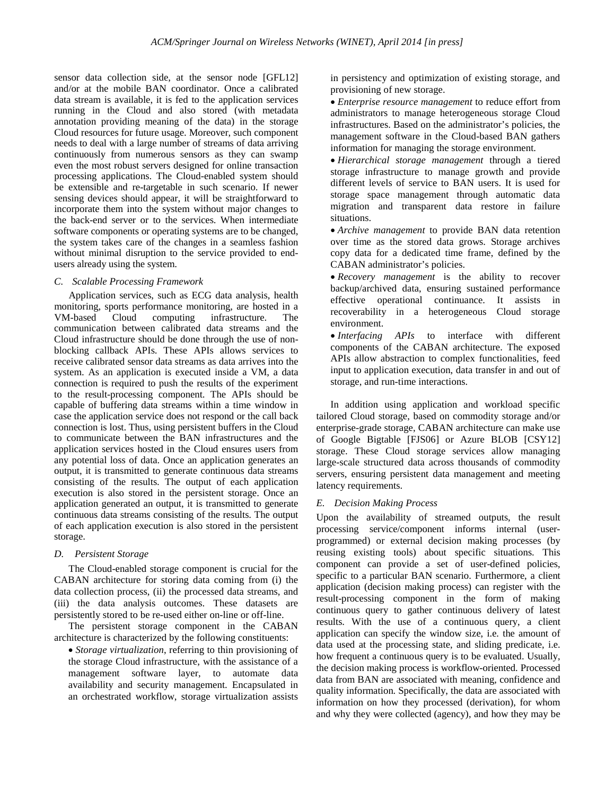sensor data collection side, at the sensor node [GFL12] and/or at the mobile BAN coordinator. Once a calibrated data stream is available, it is fed to the application services running in the Cloud and also stored (with metadata annotation providing meaning of the data) in the storage Cloud resources for future usage. Moreover, such component needs to deal with a large number of streams of data arriving continuously from numerous sensors as they can swamp even the most robust servers designed for online transaction processing applications. The Cloud-enabled system should be extensible and re-targetable in such scenario. If newer sensing devices should appear, it will be straightforward to incorporate them into the system without major changes to the back-end server or to the services. When intermediate software components or operating systems are to be changed, the system takes care of the changes in a seamless fashion without minimal disruption to the service provided to endusers already using the system.

#### *C. Scalable Processing Framework*

Application services, such as ECG data analysis, health monitoring, sports performance monitoring, are hosted in a VM-based Cloud computing infrastructure. The communication between calibrated data streams and the Cloud infrastructure should be done through the use of nonblocking callback APIs. These APIs allows services to receive calibrated sensor data streams as data arrives into the system. As an application is executed inside a VM, a data connection is required to push the results of the experiment to the result-processing component. The APIs should be capable of buffering data streams within a time window in case the application service does not respond or the call back connection is lost. Thus, using persistent buffers in the Cloud to communicate between the BAN infrastructures and the application services hosted in the Cloud ensures users from any potential loss of data. Once an application generates an output, it is transmitted to generate continuous data streams consisting of the results. The output of each application execution is also stored in the persistent storage. Once an application generated an output, it is transmitted to generate continuous data streams consisting of the results. The output of each application execution is also stored in the persistent storage.

#### *D. Persistent Storage*

The Cloud-enabled storage component is crucial for the CABAN architecture for storing data coming from (i) the data collection process, (ii) the processed data streams, and (iii) the data analysis outcomes. These datasets are persistently stored to be re-used either on-line or off-line.

The persistent storage component in the CABAN architecture is characterized by the following constituents:

• *Storage virtualization*, referring to thin provisioning of the storage Cloud infrastructure, with the assistance of a management software layer, to automate data availability and security management. Encapsulated in an orchestrated workflow, storage virtualization assists

in persistency and optimization of existing storage, and provisioning of new storage.

• *Enterprise resource management* to reduce effort from administrators to manage heterogeneous storage Cloud infrastructures. Based on the administrator's policies, the management software in the Cloud-based BAN gathers information for managing the storage environment.

• *Hierarchical storage management* through a tiered storage infrastructure to manage growth and provide different levels of service to BAN users. It is used for storage space management through automatic data migration and transparent data restore in failure situations.

• *Archive management* to provide BAN data retention over time as the stored data grows. Storage archives copy data for a dedicated time frame, defined by the CABAN administrator's policies.

• *Recovery management* is the ability to recover backup/archived data, ensuring sustained performance effective operational continuance. It assists in recoverability in a heterogeneous Cloud storage environment.

• *Interfacing APIs* to interface with different components of the CABAN architecture. The exposed APIs allow abstraction to complex functionalities, feed input to application execution, data transfer in and out of storage, and run-time interactions.

In addition using application and workload specific tailored Cloud storage, based on commodity storage and/or enterprise-grade storage, CABAN architecture can make use of Google Bigtable [FJS06] or Azure BLOB [CSY12] storage. These Cloud storage services allow managing large-scale structured data across thousands of commodity servers, ensuring persistent data management and meeting latency requirements.

#### *E. Decision Making Process*

Upon the availability of streamed outputs, the result processing service/component informs internal (userprogrammed) or external decision making processes (by reusing existing tools) about specific situations. This component can provide a set of user-defined policies, specific to a particular BAN scenario. Furthermore, a client application (decision making process) can register with the result-processing component in the form of making continuous query to gather continuous delivery of latest results. With the use of a continuous query, a client application can specify the window size, i.e. the amount of data used at the processing state, and sliding predicate, i.e. how frequent a continuous query is to be evaluated. Usually, the decision making process is workflow-oriented. Processed data from BAN are associated with meaning, confidence and quality information. Specifically, the data are associated with information on how they processed (derivation), for whom and why they were collected (agency), and how they may be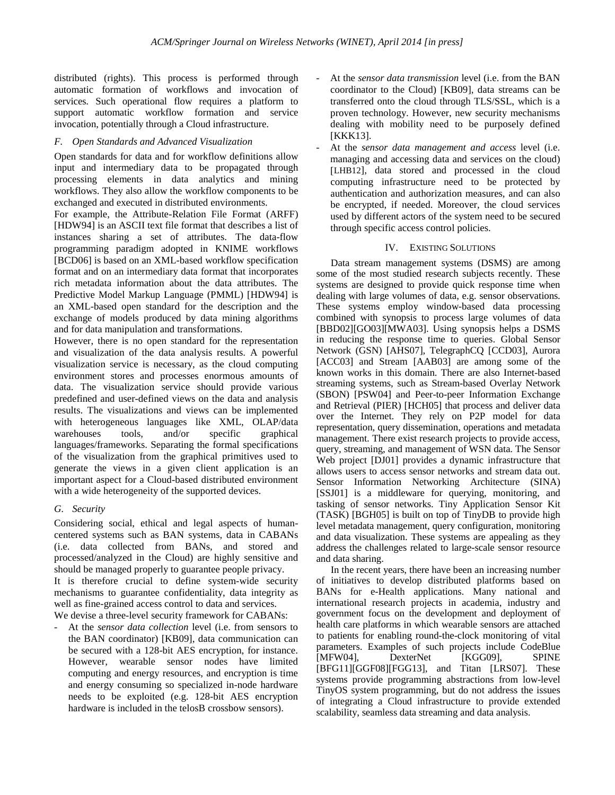distributed (rights). This process is performed through automatic formation of workflows and invocation of services. Such operational flow requires a platform to support automatic workflow formation and service invocation, potentially through a Cloud infrastructure.

#### *F. Open Standards and Advanced Visualization*

Open standards for data and for workflow definitions allow input and intermediary data to be propagated through processing elements in data analytics and mining workflows. They also allow the workflow components to be exchanged and executed in distributed environments.

For example, the Attribute-Relation File Format (ARFF) [HDW94] is an ASCII text file format that describes a list of instances sharing a set of attributes. The data-flow programming paradigm adopted in KNIME workflows [BCD06] is based on an XML-based workflow specification format and on an intermediary data format that incorporates rich metadata information about the data attributes. The Predictive Model Markup Language (PMML) [HDW94] is an XML-based open standard for the description and the exchange of models produced by data mining algorithms and for data manipulation and transformations.

However, there is no open standard for the representation and visualization of the data analysis results. A powerful visualization service is necessary, as the cloud computing environment stores and processes enormous amounts of data. The visualization service should provide various predefined and user-defined views on the data and analysis results. The visualizations and views can be implemented with heterogeneous languages like XML, OLAP/data warehouses tools, and/or specific graphical languages/frameworks. Separating the formal specifications of the visualization from the graphical primitives used to generate the views in a given client application is an important aspect for a Cloud-based distributed environment with a wide heterogeneity of the supported devices.

#### *G. Security*

Considering social, ethical and legal aspects of humancentered systems such as BAN systems, data in CABANs (i.e. data collected from BANs, and stored and processed/analyzed in the Cloud) are highly sensitive and should be managed properly to guarantee people privacy. It is therefore crucial to define system-wide security mechanisms to guarantee confidentiality, data integrity as well as fine-grained access control to data and services. We devise a three-level security framework for CABANs:

- At the *sensor data collection* level (i.e. from sensors to the BAN coordinator) [KB09], data communication can be secured with a 128-bit AES encryption, for instance. However, wearable sensor nodes have limited computing and energy resources, and encryption is time and energy consuming so specialized in-node hardware needs to be exploited (e.g. 128-bit AES encryption hardware is included in the telosB crossbow sensors).

- At the *sensor data transmission* level (i.e. from the BAN coordinator to the Cloud) [KB09], data streams can be transferred onto the cloud through TLS/SSL, which is a proven technology. However, new security mechanisms dealing with mobility need to be purposely defined [KKK13].
- At the *sensor data management and access* level (i.e. managing and accessing data and services on the cloud) [LHB12], data stored and processed in the cloud computing infrastructure need to be protected by authentication and authorization measures, and can also be encrypted, if needed. Moreover, the cloud services used by different actors of the system need to be secured through specific access control policies.

#### IV. EXISTING SOLUTIONS

Data stream management systems (DSMS) are among some of the most studied research subjects recently. These systems are designed to provide quick response time when dealing with large volumes of data, e.g. sensor observations. These systems employ window-based data processing combined with synopsis to process large volumes of data [BBD02][GO03][MWA03]. Using synopsis helps a DSMS in reducing the response time to queries. Global Sensor Network (GSN) [AHS07], TelegraphCQ [CCD03], Aurora [ACC03] and Stream [AAB03] are among some of the known works in this domain. There are also Internet-based streaming systems, such as Stream-based Overlay Network (SBON) [PSW04] and Peer-to-peer Information Exchange and Retrieval (PIER) [HCH05] that process and deliver data over the Internet. They rely on P2P model for data representation, query dissemination, operations and metadata management. There exist research projects to provide access, query, streaming, and management of WSN data. The Sensor Web project [DJ01] provides a dynamic infrastructure that allows users to access sensor networks and stream data out. Sensor Information Networking Architecture (SINA) [SSJ01] is a middleware for querying, monitoring, and tasking of sensor networks. Tiny Application Sensor Kit (TASK) [BGH05] is built on top of TinyDB to provide high level metadata management, query configuration, monitoring and data visualization. These systems are appealing as they address the challenges related to large-scale sensor resource and data sharing.

In the recent years, there have been an increasing number of initiatives to develop distributed platforms based on BANs for e-Health applications. Many national and international research projects in academia, industry and government focus on the development and deployment of health care platforms in which wearable sensors are attached to patients for enabling round-the-clock monitoring of vital parameters. Examples of such projects include CodeBlue [MFW04], DexterNet [KGG09], SPINE [BFG11][GGF08][FGG13], and Titan [LRS07]. These systems provide programming abstractions from low-level TinyOS system programming, but do not address the issues of integrating a Cloud infrastructure to provide extended scalability, seamless data streaming and data analysis.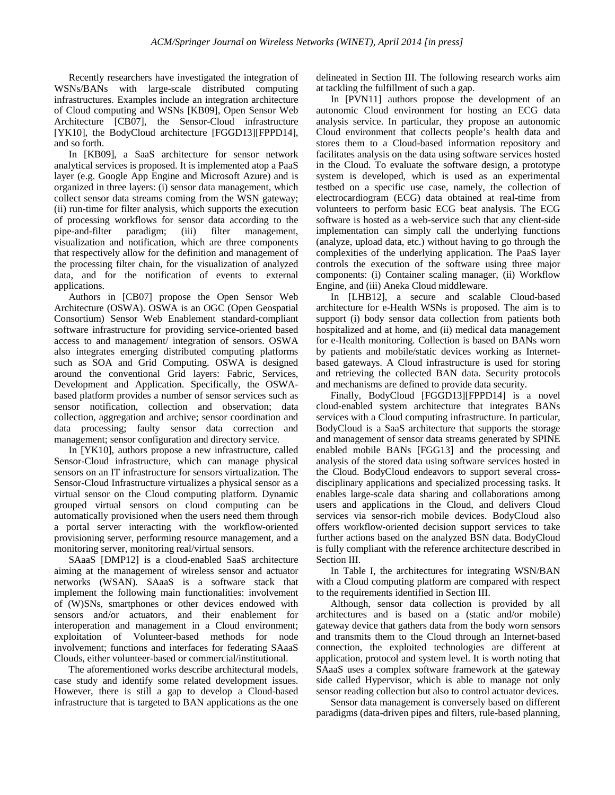Recently researchers have investigated the integration of WSNs/BANs with large-scale distributed computing infrastructures. Examples include an integration architecture of Cloud computing and WSNs [KB09], Open Sensor Web Architecture [CB07], the Sensor-Cloud infrastructure [YK10], the BodyCloud architecture [FGGD13][FPPD14], and so forth.

In [KB09], a SaaS architecture for sensor network analytical services is proposed. It is implemented atop a PaaS layer (e.g. Google App Engine and Microsoft Azure) and is organized in three layers: (i) sensor data management, which collect sensor data streams coming from the WSN gateway; (ii) run-time for filter analysis, which supports the execution of processing workflows for sensor data according to the pipe-and-filter paradigm; (iii) filter management, visualization and notification, which are three components that respectively allow for the definition and management of the processing filter chain, for the visualization of analyzed data, and for the notification of events to external applications.

Authors in [CB07] propose the Open Sensor Web Architecture (OSWA). OSWA is an OGC (Open Geospatial Consortium) Sensor Web Enablement standard-compliant software infrastructure for providing service-oriented based access to and management/ integration of sensors. OSWA also integrates emerging distributed computing platforms such as SOA and Grid Computing. OSWA is designed around the conventional Grid layers: Fabric, Services, Development and Application. Specifically, the OSWAbased platform provides a number of sensor services such as sensor notification, collection and observation; data collection, aggregation and archive; sensor coordination and data processing; faulty sensor data correction and management; sensor configuration and directory service.

In [YK10], authors propose a new infrastructure, called Sensor-Cloud infrastructure, which can manage physical sensors on an IT infrastructure for sensors virtualization. The Sensor-Cloud Infrastructure virtualizes a physical sensor as a virtual sensor on the Cloud computing platform. Dynamic grouped virtual sensors on cloud computing can be automatically provisioned when the users need them through a portal server interacting with the workflow-oriented provisioning server, performing resource management, and a monitoring server, monitoring real/virtual sensors.

SAaaS [DMP12] is a cloud-enabled SaaS architecture aiming at the management of wireless sensor and actuator networks (WSAN). SAaaS is a software stack that implement the following main functionalities: involvement of (W)SNs, smartphones or other devices endowed with sensors and/or actuators, and their enablement for interoperation and management in a Cloud environment; exploitation of Volunteer-based methods for node involvement; functions and interfaces for federating SAaaS Clouds, either volunteer-based or commercial/institutional.

The aforementioned works describe architectural models, case study and identify some related development issues. However, there is still a gap to develop a Cloud-based infrastructure that is targeted to BAN applications as the one delineated in Section III. The following research works aim at tackling the fulfillment of such a gap.

In [PVN11] authors propose the development of an autonomic Cloud environment for hosting an ECG data analysis service. In particular, they propose an autonomic Cloud environment that collects people's health data and stores them to a Cloud-based information repository and facilitates analysis on the data using software services hosted in the Cloud. To evaluate the software design, a prototype system is developed, which is used as an experimental testbed on a specific use case, namely, the collection of electrocardiogram (ECG) data obtained at real-time from volunteers to perform basic ECG beat analysis. The ECG software is hosted as a web-service such that any client-side implementation can simply call the underlying functions (analyze, upload data, etc.) without having to go through the complexities of the underlying application. The PaaS layer controls the execution of the software using three major components: (i) Container scaling manager, (ii) Workflow Engine, and (iii) Aneka Cloud middleware.

In [LHB12], a secure and scalable Cloud-based architecture for e-Health WSNs is proposed. The aim is to support (i) body sensor data collection from patients both hospitalized and at home, and (ii) medical data management for e-Health monitoring. Collection is based on BANs worn by patients and mobile/static devices working as Internetbased gateways. A Cloud infrastructure is used for storing and retrieving the collected BAN data. Security protocols and mechanisms are defined to provide data security.

Finally, BodyCloud [FGGD13][FPPD14] is a novel cloud-enabled system architecture that integrates BANs services with a Cloud computing infrastructure. In particular, BodyCloud is a SaaS architecture that supports the storage and management of sensor data streams generated by SPINE enabled mobile BANs [FGG13] and the processing and analysis of the stored data using software services hosted in the Cloud. BodyCloud endeavors to support several crossdisciplinary applications and specialized processing tasks. It enables large-scale data sharing and collaborations among users and applications in the Cloud, and delivers Cloud services via sensor-rich mobile devices. BodyCloud also offers workflow-oriented decision support services to take further actions based on the analyzed BSN data. BodyCloud is fully compliant with the reference architecture described in Section III.

In Table I, the architectures for integrating WSN/BAN with a Cloud computing platform are compared with respect to the requirements identified in Section III.

Although, sensor data collection is provided by all architectures and is based on a (static and/or mobile) gateway device that gathers data from the body worn sensors and transmits them to the Cloud through an Internet-based connection, the exploited technologies are different at application, protocol and system level. It is worth noting that SAaaS uses a complex software framework at the gateway side called Hypervisor, which is able to manage not only sensor reading collection but also to control actuator devices.

Sensor data management is conversely based on different paradigms (data-driven pipes and filters, rule-based planning,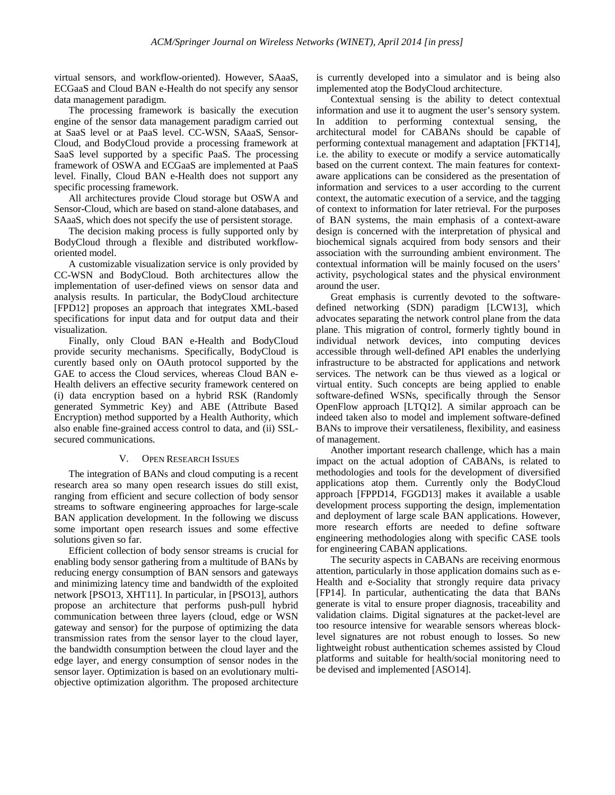virtual sensors, and workflow-oriented). However, SAaaS, ECGaaS and Cloud BAN e-Health do not specify any sensor data management paradigm.

The processing framework is basically the execution engine of the sensor data management paradigm carried out at SaaS level or at PaaS level. CC-WSN, SAaaS, Sensor-Cloud, and BodyCloud provide a processing framework at SaaS level supported by a specific PaaS. The processing framework of OSWA and ECGaaS are implemented at PaaS level. Finally, Cloud BAN e-Health does not support any specific processing framework.

All architectures provide Cloud storage but OSWA and Sensor-Cloud, which are based on stand-alone databases, and SAaaS, which does not specify the use of persistent storage.

The decision making process is fully supported only by BodyCloud through a flexible and distributed workfloworiented model.

A customizable visualization service is only provided by CC-WSN and BodyCloud. Both architectures allow the implementation of user-defined views on sensor data and analysis results. In particular, the BodyCloud architecture [FPD12] proposes an approach that integrates XML-based specifications for input data and for output data and their visualization.

Finally, only Cloud BAN e-Health and BodyCloud provide security mechanisms. Specifically, BodyCloud is curently based only on OAuth protocol supported by the GAE to access the Cloud services, whereas Cloud BAN e-Health delivers an effective security framework centered on (i) data encryption based on a hybrid RSK (Randomly generated Symmetric Key) and ABE (Attribute Based Encryption) method supported by a Health Authority, which also enable fine-grained access control to data, and (ii) SSLsecured communications.

#### V. OPEN RESEARCH ISSUES

The integration of BANs and cloud computing is a recent research area so many open research issues do still exist, ranging from efficient and secure collection of body sensor streams to software engineering approaches for large-scale BAN application development. In the following we discuss some important open research issues and some effective solutions given so far.

Efficient collection of body sensor streams is crucial for enabling body sensor gathering from a multitude of BANs by reducing energy consumption of BAN sensors and gateways and minimizing latency time and bandwidth of the exploited network [PSO13, XHT11]. In particular, in [PSO13], authors propose an architecture that performs push-pull hybrid communication between three layers (cloud, edge or WSN gateway and sensor) for the purpose of optimizing the data transmission rates from the sensor layer to the cloud layer, the bandwidth consumption between the cloud layer and the edge layer, and energy consumption of sensor nodes in the sensor layer. Optimization is based on an evolutionary multiobjective optimization algorithm. The proposed architecture is currently developed into a simulator and is being also implemented atop the BodyCloud architecture.

Contextual sensing is the ability to detect contextual information and use it to augment the user's sensory system. In addition to performing contextual sensing, the architectural model for CABANs should be capable of performing contextual management and adaptation [FKT14], i.e. the ability to execute or modify a service automatically based on the current context. The main features for contextaware applications can be considered as the presentation of information and services to a user according to the current context, the automatic execution of a service, and the tagging of context to information for later retrieval. For the purposes of BAN systems, the main emphasis of a context-aware design is concerned with the interpretation of physical and biochemical signals acquired from body sensors and their association with the surrounding ambient environment. The contextual information will be mainly focused on the users' activity, psychological states and the physical environment around the user.

Great emphasis is currently devoted to the softwaredefined networking (SDN) paradigm [LCW13], which advocates separating the network control plane from the data plane. This migration of control, formerly tightly bound in individual network devices, into computing devices accessible through well-defined API enables the underlying infrastructure to be abstracted for applications and network services. The network can be thus viewed as a logical or virtual entity. Such concepts are being applied to enable software-defined WSNs, specifically through the Sensor OpenFlow approach [LTQ12]. A similar approach can be indeed taken also to model and implement software-defined BANs to improve their versatileness, flexibility, and easiness of management.

Another important research challenge, which has a main impact on the actual adoption of CABANs, is related to methodologies and tools for the development of diversified applications atop them. Currently only the BodyCloud approach [FPPD14, FGGD13] makes it available a usable development process supporting the design, implementation and deployment of large scale BAN applications. However, more research efforts are needed to define software engineering methodologies along with specific CASE tools for engineering CABAN applications.

The security aspects in CABANs are receiving enormous attention, particularly in those application domains such as e-Health and e-Sociality that strongly require data privacy [FP14]. In particular, authenticating the data that BANs generate is vital to ensure proper diagnosis, traceability and validation claims. Digital signatures at the packet-level are too resource intensive for wearable sensors whereas blocklevel signatures are not robust enough to losses. So new lightweight robust authentication schemes assisted by Cloud platforms and suitable for health/social monitoring need to be devised and implemented [ASO14].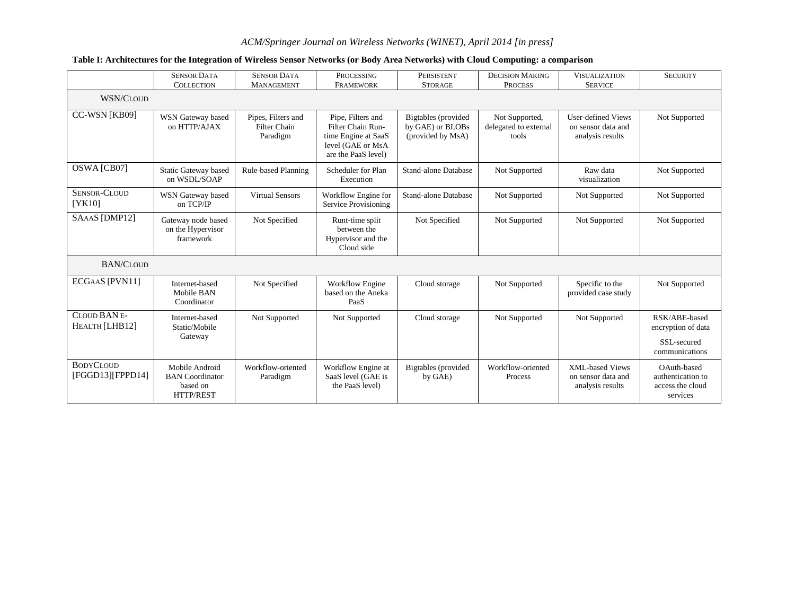# *ACM/Springer Journal on Wireless Networks (WINET), April 2014 [in press]*

### **Table I: Architectures for the Integration of Wireless Sensor Networks (or Body Area Networks) with Cloud Computing: a comparison**

|                                      | <b>SENSOR DATA</b><br><b>COLLECTION</b>                                  | <b>SENSOR DATA</b><br><b>MANAGEMENT</b>               | <b>PROCESSING</b><br><b>FRAMEWORK</b>                                                                     | <b>PERSISTENT</b><br><b>STORAGE</b>                          | <b>DECISION MAKING</b><br><b>PROCESS</b>         | <b>VISUALIZATION</b><br><b>SERVICE</b>                           | <b>SECURITY</b>                                                  |
|--------------------------------------|--------------------------------------------------------------------------|-------------------------------------------------------|-----------------------------------------------------------------------------------------------------------|--------------------------------------------------------------|--------------------------------------------------|------------------------------------------------------------------|------------------------------------------------------------------|
| <b>WSN/CLOUD</b>                     |                                                                          |                                                       |                                                                                                           |                                                              |                                                  |                                                                  |                                                                  |
| CC-WSN [KB09]                        | WSN Gateway based<br>on HTTP/AJAX                                        | Pipes, Filters and<br><b>Filter Chain</b><br>Paradigm | Pipe, Filters and<br>Filter Chain Run-<br>time Engine at SaaS<br>level (GAE or MsA<br>are the PaaS level) | Bigtables (provided<br>by GAE) or BLOBs<br>(provided by MsA) | Not Supported,<br>delegated to external<br>tools | User-defined Views<br>on sensor data and<br>analysis results     | Not Supported                                                    |
| OSWA [CB07]                          | <b>Static Gateway based</b><br>on WSDL/SOAP                              | <b>Rule-based Planning</b>                            | Scheduler for Plan<br>Execution                                                                           | Stand-alone Database                                         | Not Supported                                    | Raw data<br>visualization                                        | Not Supported                                                    |
| <b>SENSOR-CLOUD</b><br>[YK10]        | WSN Gateway based<br>on TCP/IP                                           | <b>Virtual Sensors</b>                                | Workflow Engine for<br>Service Provisioning                                                               | <b>Stand-alone Database</b>                                  | Not Supported                                    | Not Supported                                                    | Not Supported                                                    |
| SAAAS [DMP12]                        | Gateway node based<br>on the Hypervisor<br>framework                     | Not Specified                                         | Runt-time split<br>between the<br>Hypervisor and the<br>Cloud side                                        | Not Specified                                                | Not Supported                                    | Not Supported                                                    | Not Supported                                                    |
| <b>BAN/CLOUD</b>                     |                                                                          |                                                       |                                                                                                           |                                                              |                                                  |                                                                  |                                                                  |
| <b>ECGAAS</b> [PVN11]                | Internet-based<br>Mobile BAN<br>Coordinator                              | Not Specified                                         | Workflow Engine<br>based on the Aneka<br>PaaS                                                             | Cloud storage                                                | Not Supported                                    | Specific to the<br>provided case study                           | Not Supported                                                    |
| CLOUD BANE-<br>HEALTH [LHB12]        | Internet-based<br>Static/Mobile                                          | Not Supported                                         | Not Supported                                                                                             | Cloud storage                                                | Not Supported                                    | Not Supported                                                    | RSK/ABE-based<br>encryption of data                              |
|                                      | Gateway                                                                  |                                                       |                                                                                                           |                                                              |                                                  |                                                                  | SSL-secured<br>communications                                    |
| <b>BODYCLOUD</b><br>[FGGD13][FPPD14] | Mobile Android<br><b>BAN</b> Coordinator<br>based on<br><b>HTTP/REST</b> | Workflow-oriented<br>Paradigm                         | Workflow Engine at<br>SaaS level (GAE is<br>the PaaS level)                                               | Bigtables (provided<br>by GAE)                               | Workflow-oriented<br>Process                     | <b>XML-based Views</b><br>on sensor data and<br>analysis results | OAuth-based<br>authentication to<br>access the cloud<br>services |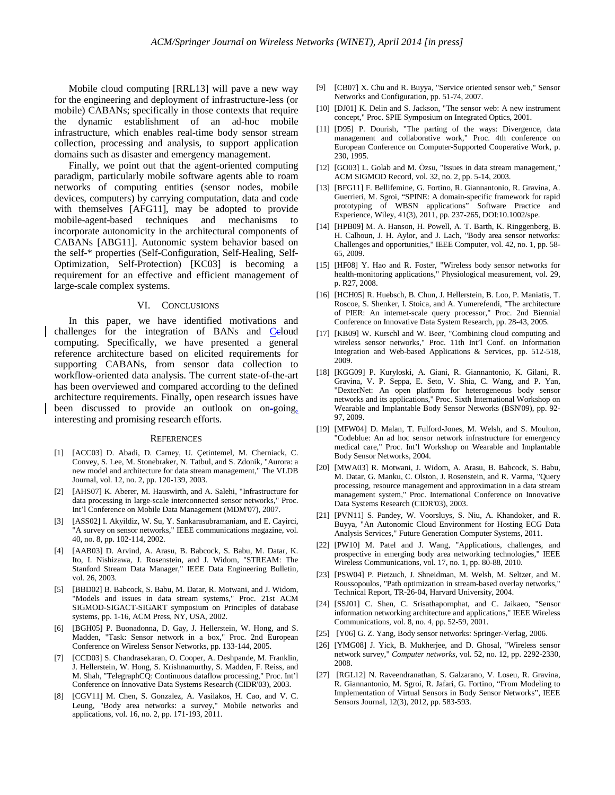Mobile cloud computing [RRL13] will pave a new way for the engineering and deployment of infrastructure-less (or mobile) CABANs; specifically in those contexts that require the dynamic establishment of an ad-hoc mobile infrastructure, which enables real-time body sensor stream collection, processing and analysis, to support application domains such as disaster and emergency management.

Finally, we point out that the agent-oriented computing paradigm, particularly mobile software agents able to roam networks of computing entities (sensor nodes, mobile devices, computers) by carrying computation, data and code with themselves [AFG11], may be adopted to provide mobile-agent-based techniques and mechanisms to incorporate autonomicity in the architectural components of CABANs [ABG11]. Autonomic system behavior based on the self-\* properties (Self-Configuration, Self-Healing, Self-Optimization, Self-Protection) [KC03] is becoming a requirement for an effective and efficient management of large-scale complex systems.

#### VI. CONCLUSIONS

In this paper, we have identified motivations and challenges for the integration of BANs and Celoud computing. Specifically, we have presented a general reference architecture based on elicited requirements for supporting CABANs, from sensor data collection to workflow-oriented data analysis. The current state-of-the-art has been overviewed and compared according to the defined architecture requirements. Finally, open research issues have been discussed to provide an outlook on on-going, interesting and promising research efforts.

#### **REFERENCES**

- [1] [ACC03] D. Abadi, D. Carney, U. Çetintemel, M. Cherniack, C. Convey, S. Lee, M. Stonebraker, N. Tatbul, and S. Zdonik, "Aurora: a new model and architecture for data stream management," The VLDB Journal, vol. 12, no. 2, pp. 120-139, 2003.
- [2] [AHS07] K. Aberer, M. Hauswirth, and A. Salehi, "Infrastructure for data processing in large-scale interconnected sensor networks," Proc. Int'l Conference on Mobile Data Management (MDM'07), 2007.
- [3] [ASS02] I. Akyildiz, W. Su, Y. Sankarasubramaniam, and E. Cayirci, "A survey on sensor networks," IEEE communications magazine, vol. 40, no. 8, pp. 102-114, 2002.
- [4] [AAB03] D. Arvind, A. Arasu, B. Babcock, S. Babu, M. Datar, K. Ito, I. Nishizawa, J. Rosenstein, and J. Widom, "STREAM: The Stanford Stream Data Manager," IEEE Data Engineering Bulletin, vol. 26, 2003.
- [5] [BBD02] B. Babcock, S. Babu, M. Datar, R. Motwani, and J. Widom, "Models and issues in data stream systems," Proc. 21st ACM SIGMOD-SIGACT-SIGART symposium on Principles of database systems, pp. 1-16, ACM Press, NY, USA, 2002.
- [6] [BGH05] P. Buonadonna, D. Gay, J. Hellerstein, W. Hong, and S. Madden, "Task: Sensor network in a box," Proc. 2nd European Conference on Wireless Sensor Networks, pp. 133-144, 2005.
- [7] [CCD03] S. Chandrasekaran, O. Cooper, A. Deshpande, M. Franklin, J. Hellerstein, W. Hong, S. Krishnamurthy, S. Madden, F. Reiss, and M. Shah, "TelegraphCQ: Continuous dataflow processing," Proc. Int'l Conference on Innovative Data Systems Research (CIDR'03), 2003.
- [8] [CGV11] M. Chen, S. Gonzalez, A. Vasilakos, H. Cao, and V. C. Leung, "Body area networks: a survey," Mobile networks and applications, vol. 16, no. 2, pp. 171-193, 2011.
- [9] [CB07] X. Chu and R. Buyya, "Service oriented sensor web," Sensor Networks and Configuration, pp. 51-74, 2007.
- [10] [DJ01] K. Delin and S. Jackson, "The sensor web: A new instrument concept," Proc. SPIE Symposium on Integrated Optics, 2001.
- [11] [D95] P. Dourish, "The parting of the ways: Divergence, data management and collaborative work," Proc. 4th conference on European Conference on Computer-Supported Cooperative Work, p. 230, 1995.
- [12] [GO03] L. Golab and M. Özsu, "Issues in data stream management," ACM SIGMOD Record, vol. 32, no. 2, pp. 5-14, 2003.
- [13] [BFG11] F. Bellifemine, G. Fortino, R. Giannantonio, R. Gravina, A. Guerrieri, M. Sgroi, "SPINE: A domain-specific framework for rapid prototyping of WBSN applications" Software Practice and Experience, Wiley, 41(3), 2011, pp. 237-265, DOI:10.1002/spe.
- [14] [HPB09] M. A. Hanson, H. Powell, A. T. Barth, K. Ringgenberg, B. H. Calhoun, J. H. Aylor, and J. Lach, "Body area sensor networks: Challenges and opportunities," IEEE Computer, vol. 42, no. 1, pp. 58- 65, 2009.
- [15] [HF08] Y. Hao and R. Foster, "Wireless body sensor networks for health-monitoring applications," Physiological measurement, vol. 29, p. R27, 2008.
- [16] [HCH05] R. Huebsch, B. Chun, J. Hellerstein, B. Loo, P. Maniatis, T. Roscoe, S. Shenker, I. Stoica, and A. Yumerefendi, "The architecture of PIER: An internet-scale query processor," Proc. 2nd Biennial Conference on Innovative Data System Research, pp. 28-43, 2005.
- [17] [KB09] W. Kurschl and W. Beer, "Combining cloud computing and wireless sensor networks," Proc. 11th Int'l Conf. on Information Integration and Web-based Applications & Services, pp. 512-518, 2009.
- [18] [KGG09] P. Kuryloski, A. Giani, R. Giannantonio, K. Gilani, R. Gravina, V. P. Seppa, E. Seto, V. Shia, C. Wang, and P. Yan, "DexterNet: An open platform for heterogeneous body sensor networks and its applications," Proc. Sixth International Workshop on Wearable and Implantable Body Sensor Networks (BSN'09), pp. 92- 97, 2009.
- [19] [MFW04] D. Malan, T. Fulford-Jones, M. Welsh, and S. Moulton, "Codeblue: An ad hoc sensor network infrastructure for emergency medical care," Proc. Int'l Workshop on Wearable and Implantable Body Sensor Networks, 2004.
- [20] [MWA03] R. Motwani, J. Widom, A. Arasu, B. Babcock, S. Babu, M. Datar, G. Manku, C. Olston, J. Rosenstein, and R. Varma, "Query processing, resource management and approximation in a data stream management system," Proc. International Conference on Innovative Data Systems Research (CIDR'03), 2003.
- [21] [PVN11] S. Pandey, W. Voorsluys, S. Niu, A. Khandoker, and R. Buyya, "An Autonomic Cloud Environment for Hosting ECG Data Analysis Services," Future Generation Computer Systems, 2011.
- [22] [PW10] M. Patel and J. Wang, "Applications, challenges, and prospective in emerging body area networking technologies," IEEE Wireless Communications, vol. 17, no. 1, pp. 80-88, 2010.
- [23] [PSW04] P. Pietzuch, J. Shneidman, M. Welsh, M. Seltzer, and M. Roussopoulos, "Path optimization in stream-based overlay networks," Technical Report, TR-26-04, Harvard University, 2004.
- [24] [SSJ01] C. Shen, C. Srisathapornphat, and C. Jaikaeo, "Sensor information networking architecture and applications," IEEE Wireless Communications, vol. 8, no. 4, pp. 52-59, 2001.
- [25] [Y06] G. Z. Yang, Body sensor networks: Springer-Verlag, 2006.
- [26] [YMG08] J. Yick, B. Mukherjee, and D. Ghosal, "Wireless sensor network survey," *Computer networks,* vol. 52, no. 12, pp. 2292-2330, 2008.
- [27] [RGL12] N. Raveendranathan, S. Galzarano, V. Loseu, R. Gravina, R. Giannantonio, M. Sgroi, R. Jafari, G. Fortino, "From Modeling to Implementation of Virtual Sensors in Body Sensor Networks", IEEE Sensors Journal, 12(3), 2012, pp. 583-593.